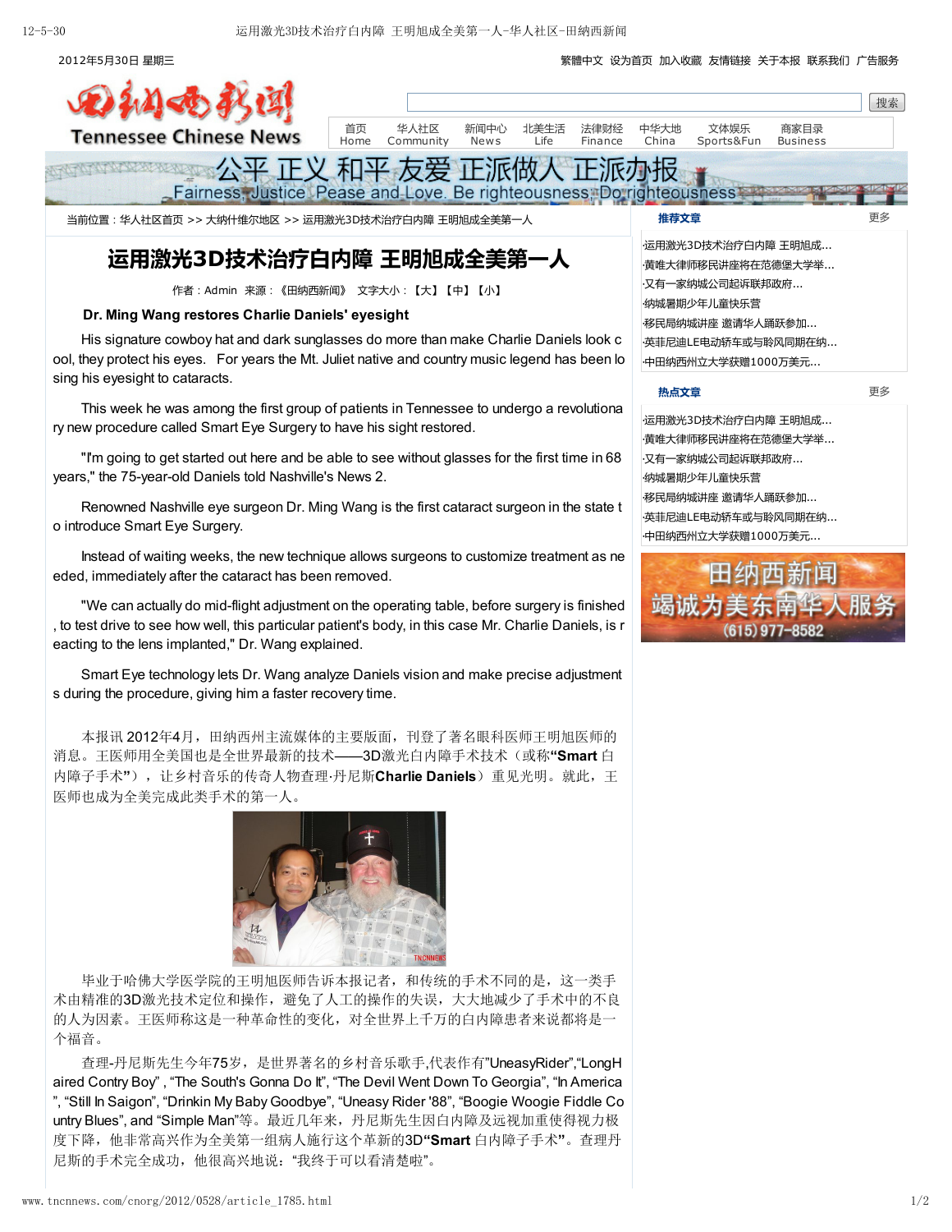## 繁體中文 设为首页 加入收藏 友情链接 关于本报 联系我们 广告服务



尼斯的手术完全成功,他很高兴地说: "我终于可以看清楚啦"。

untry Blues", and "Simple Man"等。最近几年来, 丹尼斯先生因白内障及远视加重使得视力极 度下降,他非常高兴作为全美第一组病人施行这个革新的3D"Smart 白内障子手术"。查理丹